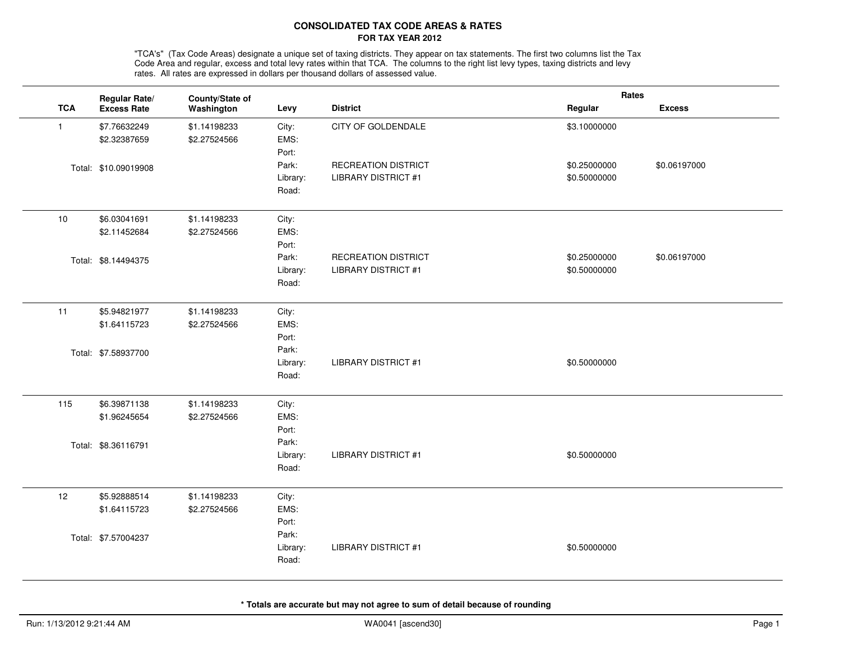## **CONSOLIDATED TAX CODE AREAS & RATESFOR TAX YEAR 2012**

"TCA's" (Tax Code Areas) designate a unique set of taxing districts. They appear on tax statements. The first two columns list the Tax<br>Code Area and regular, excess and total levy rates within that TCA. The columns to the rates. All rates are expressed in dollars per thousand dollars of assessed value.

|              | Regular Rate/        | County/State of |          |                            | Rates        |               |
|--------------|----------------------|-----------------|----------|----------------------------|--------------|---------------|
| <b>TCA</b>   | <b>Excess Rate</b>   | Washington      | Levy     | <b>District</b>            | Regular      | <b>Excess</b> |
| $\mathbf{1}$ | \$7.76632249         | \$1.14198233    | City:    | CITY OF GOLDENDALE         | \$3.10000000 |               |
|              | \$2.32387659         | \$2.27524566    | EMS:     |                            |              |               |
|              |                      |                 | Port:    |                            |              |               |
|              | Total: \$10.09019908 |                 | Park:    | RECREATION DISTRICT        | \$0.25000000 | \$0.06197000  |
|              |                      |                 | Library: | <b>LIBRARY DISTRICT #1</b> | \$0.50000000 |               |
|              |                      |                 | Road:    |                            |              |               |
| 10           | \$6.03041691         | \$1.14198233    | City:    |                            |              |               |
|              | \$2.11452684         | \$2.27524566    | EMS:     |                            |              |               |
|              |                      |                 | Port:    |                            |              |               |
|              | Total: \$8.14494375  |                 | Park:    | RECREATION DISTRICT        | \$0.25000000 | \$0.06197000  |
|              |                      |                 | Library: | <b>LIBRARY DISTRICT #1</b> | \$0.50000000 |               |
|              |                      |                 | Road:    |                            |              |               |
| 11           | \$5.94821977         | \$1.14198233    | City:    |                            |              |               |
|              | \$1.64115723         | \$2.27524566    | EMS:     |                            |              |               |
|              |                      |                 | Port:    |                            |              |               |
|              | Total: \$7.58937700  |                 | Park:    |                            |              |               |
|              |                      |                 | Library: | <b>LIBRARY DISTRICT #1</b> | \$0.50000000 |               |
|              |                      |                 | Road:    |                            |              |               |
| 115          | \$6.39871138         | \$1.14198233    | City:    |                            |              |               |
|              | \$1.96245654         | \$2.27524566    | EMS:     |                            |              |               |
|              |                      |                 | Port:    |                            |              |               |
|              | Total: \$8.36116791  |                 | Park:    |                            |              |               |
|              |                      |                 | Library: | <b>LIBRARY DISTRICT #1</b> | \$0.50000000 |               |
|              |                      |                 | Road:    |                            |              |               |
| 12           | \$5.92888514         | \$1.14198233    | City:    |                            |              |               |
|              | \$1.64115723         | \$2.27524566    | EMS:     |                            |              |               |
|              |                      |                 | Port:    |                            |              |               |
|              | Total: \$7.57004237  |                 | Park:    |                            |              |               |
|              |                      |                 | Library: | <b>LIBRARY DISTRICT #1</b> | \$0.50000000 |               |
|              |                      |                 | Road:    |                            |              |               |
|              |                      |                 |          |                            |              |               |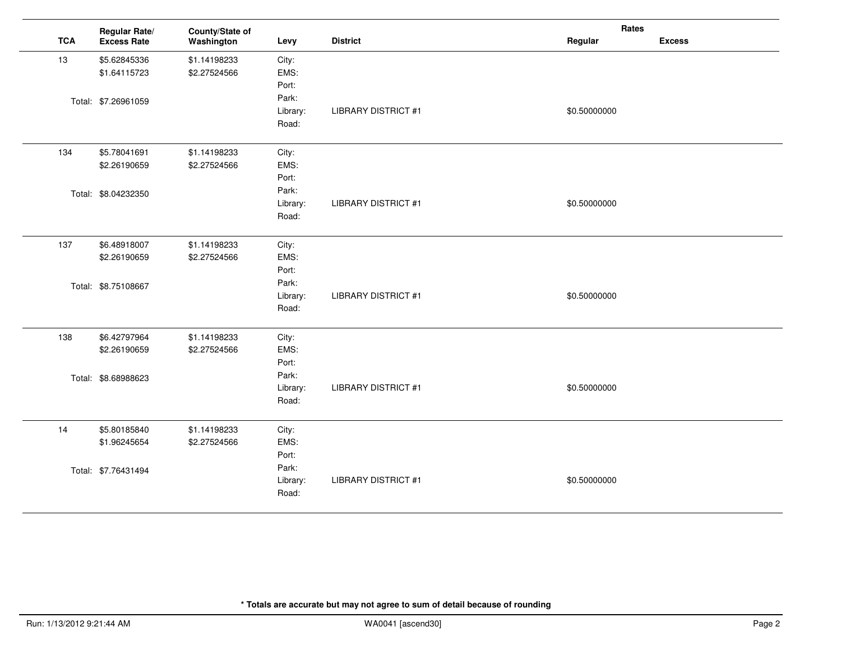|            | Regular Rate/       | County/State of |          |                            | Rates        |               |
|------------|---------------------|-----------------|----------|----------------------------|--------------|---------------|
| <b>TCA</b> | <b>Excess Rate</b>  | Washington      | Levy     | <b>District</b>            | Regular      | <b>Excess</b> |
| 13         | \$5.62845336        | \$1.14198233    | City:    |                            |              |               |
|            | \$1.64115723        | \$2.27524566    | EMS:     |                            |              |               |
|            |                     |                 | Port:    |                            |              |               |
|            | Total: \$7.26961059 |                 | Park:    |                            |              |               |
|            |                     |                 | Library: | <b>LIBRARY DISTRICT #1</b> | \$0.50000000 |               |
|            |                     |                 | Road:    |                            |              |               |
| 134        | \$5.78041691        | \$1.14198233    | City:    |                            |              |               |
|            | \$2.26190659        | \$2.27524566    | EMS:     |                            |              |               |
|            |                     |                 | Port:    |                            |              |               |
|            | Total: \$8.04232350 |                 | Park:    |                            |              |               |
|            |                     |                 | Library: | <b>LIBRARY DISTRICT #1</b> | \$0.50000000 |               |
|            |                     |                 | Road:    |                            |              |               |
| 137        | \$6.48918007        | \$1.14198233    | City:    |                            |              |               |
|            | \$2.26190659        | \$2.27524566    | EMS:     |                            |              |               |
|            |                     |                 | Port:    |                            |              |               |
|            | Total: \$8.75108667 |                 | Park:    |                            |              |               |
|            |                     |                 | Library: | <b>LIBRARY DISTRICT #1</b> | \$0.50000000 |               |
|            |                     |                 | Road:    |                            |              |               |
| 138        | \$6.42797964        | \$1.14198233    | City:    |                            |              |               |
|            | \$2.26190659        | \$2.27524566    | EMS:     |                            |              |               |
|            |                     |                 | Port:    |                            |              |               |
|            | Total: \$8.68988623 |                 | Park:    |                            |              |               |
|            |                     |                 | Library: | <b>LIBRARY DISTRICT #1</b> | \$0.50000000 |               |
|            |                     |                 | Road:    |                            |              |               |
| 14         | \$5.80185840        | \$1.14198233    | City:    |                            |              |               |
|            | \$1.96245654        | \$2.27524566    | EMS:     |                            |              |               |
|            |                     |                 | Port:    |                            |              |               |
|            | Total: \$7.76431494 |                 | Park:    |                            |              |               |
|            |                     |                 | Library: | <b>LIBRARY DISTRICT #1</b> | \$0.50000000 |               |
|            |                     |                 | Road:    |                            |              |               |
|            |                     |                 |          |                            |              |               |

 $\overline{a}$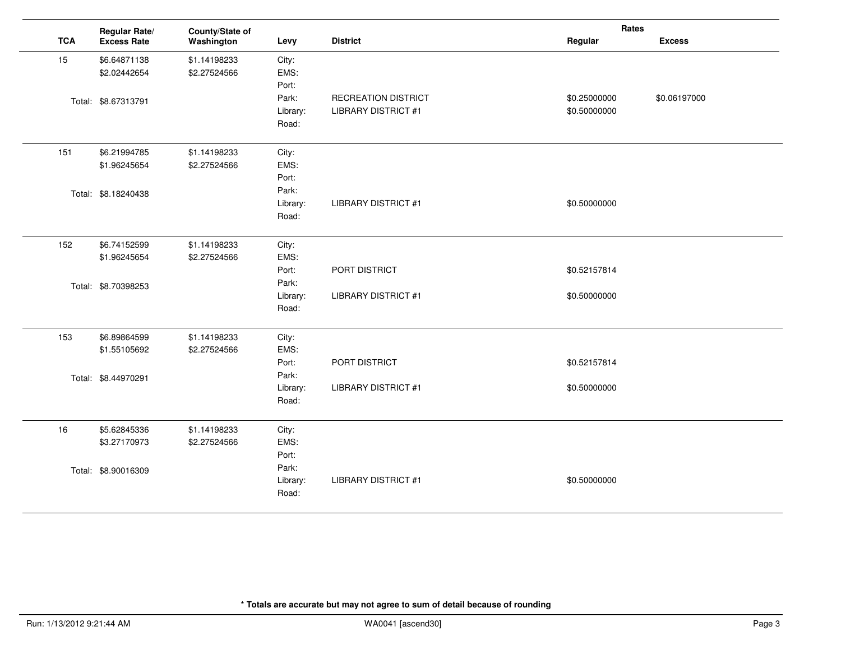|            | Regular Rate/       | County/State of |          |                            | Rates        |               |
|------------|---------------------|-----------------|----------|----------------------------|--------------|---------------|
| <b>TCA</b> | <b>Excess Rate</b>  | Washington      | Levy     | <b>District</b>            | Regular      | <b>Excess</b> |
| 15         | \$6.64871138        | \$1.14198233    | City:    |                            |              |               |
|            | \$2.02442654        | \$2.27524566    | EMS:     |                            |              |               |
|            |                     |                 | Port:    |                            |              |               |
|            | Total: \$8.67313791 |                 | Park:    | RECREATION DISTRICT        | \$0.25000000 | \$0.06197000  |
|            |                     |                 | Library: | <b>LIBRARY DISTRICT #1</b> | \$0.50000000 |               |
|            |                     |                 | Road:    |                            |              |               |
| 151        | \$6.21994785        | \$1.14198233    | City:    |                            |              |               |
|            | \$1.96245654        | \$2.27524566    | EMS:     |                            |              |               |
|            |                     |                 | Port:    |                            |              |               |
|            | Total: \$8.18240438 |                 | Park:    |                            |              |               |
|            |                     |                 | Library: | <b>LIBRARY DISTRICT #1</b> | \$0.50000000 |               |
|            |                     |                 | Road:    |                            |              |               |
| 152        | \$6.74152599        | \$1.14198233    | City:    |                            |              |               |
|            | \$1.96245654        | \$2.27524566    | EMS:     |                            |              |               |
|            |                     |                 | Port:    | PORT DISTRICT              | \$0.52157814 |               |
|            | Total: \$8.70398253 |                 | Park:    |                            |              |               |
|            |                     |                 | Library: | <b>LIBRARY DISTRICT #1</b> | \$0.50000000 |               |
|            |                     |                 | Road:    |                            |              |               |
| 153        | \$6.89864599        | \$1.14198233    | City:    |                            |              |               |
|            | \$1.55105692        | \$2.27524566    | EMS:     |                            |              |               |
|            |                     |                 | Port:    | PORT DISTRICT              | \$0.52157814 |               |
|            | Total: \$8.44970291 |                 | Park:    |                            |              |               |
|            |                     |                 | Library: | <b>LIBRARY DISTRICT #1</b> | \$0.50000000 |               |
|            |                     |                 | Road:    |                            |              |               |
| 16         | \$5.62845336        | \$1.14198233    | City:    |                            |              |               |
|            | \$3.27170973        | \$2.27524566    | EMS:     |                            |              |               |
|            |                     |                 | Port:    |                            |              |               |
|            | Total: \$8.90016309 |                 | Park:    |                            |              |               |
|            |                     |                 | Library: | <b>LIBRARY DISTRICT #1</b> | \$0.50000000 |               |
|            |                     |                 | Road:    |                            |              |               |
|            |                     |                 |          |                            |              |               |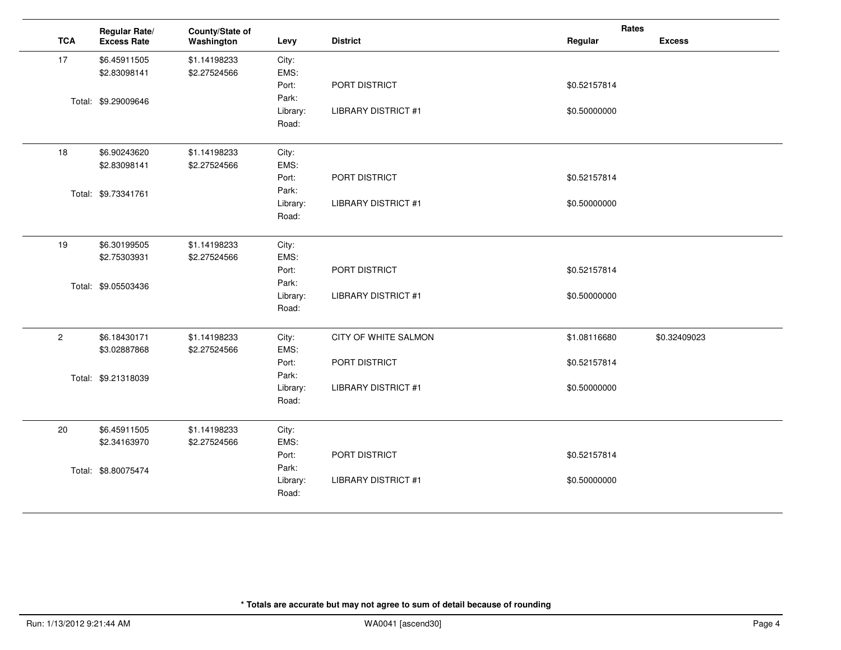|                | Regular Rate/       | County/State of |          |                            | Rates        |               |
|----------------|---------------------|-----------------|----------|----------------------------|--------------|---------------|
| <b>TCA</b>     | <b>Excess Rate</b>  | Washington      | Levy     | <b>District</b>            | Regular      | <b>Excess</b> |
| 17             | \$6.45911505        | \$1.14198233    | City:    |                            |              |               |
|                | \$2.83098141        | \$2.27524566    | EMS:     |                            |              |               |
|                |                     |                 | Port:    | PORT DISTRICT              | \$0.52157814 |               |
|                | Total: \$9.29009646 |                 | Park:    |                            |              |               |
|                |                     |                 | Library: | <b>LIBRARY DISTRICT #1</b> | \$0.50000000 |               |
|                |                     |                 | Road:    |                            |              |               |
| 18             | \$6.90243620        | \$1.14198233    | City:    |                            |              |               |
|                | \$2.83098141        | \$2.27524566    | EMS:     |                            |              |               |
|                |                     |                 | Port:    | PORT DISTRICT              | \$0.52157814 |               |
|                | Total: \$9.73341761 |                 | Park:    |                            |              |               |
|                |                     |                 | Library: | <b>LIBRARY DISTRICT #1</b> | \$0.50000000 |               |
|                |                     |                 | Road:    |                            |              |               |
| 19             | \$6.30199505        | \$1.14198233    | City:    |                            |              |               |
|                | \$2.75303931        | \$2.27524566    | EMS:     |                            |              |               |
|                |                     |                 | Port:    | PORT DISTRICT              | \$0.52157814 |               |
|                | Total: \$9.05503436 |                 | Park:    |                            |              |               |
|                |                     |                 | Library: | <b>LIBRARY DISTRICT #1</b> | \$0.50000000 |               |
|                |                     |                 | Road:    |                            |              |               |
| $\overline{2}$ | \$6.18430171        | \$1.14198233    | City:    | CITY OF WHITE SALMON       | \$1.08116680 | \$0.32409023  |
|                | \$3.02887868        | \$2.27524566    | EMS:     |                            |              |               |
|                |                     |                 | Port:    | PORT DISTRICT              | \$0.52157814 |               |
|                | Total: \$9.21318039 |                 | Park:    |                            |              |               |
|                |                     |                 | Library: | <b>LIBRARY DISTRICT #1</b> | \$0.50000000 |               |
|                |                     |                 | Road:    |                            |              |               |
| 20             | \$6.45911505        | \$1.14198233    | City:    |                            |              |               |
|                | \$2.34163970        | \$2.27524566    | EMS:     |                            |              |               |
|                |                     |                 | Port:    | PORT DISTRICT              | \$0.52157814 |               |
|                | Total: \$8.80075474 |                 | Park:    |                            |              |               |
|                |                     |                 | Library: | <b>LIBRARY DISTRICT #1</b> | \$0.50000000 |               |
|                |                     |                 | Road:    |                            |              |               |
|                |                     |                 |          |                            |              |               |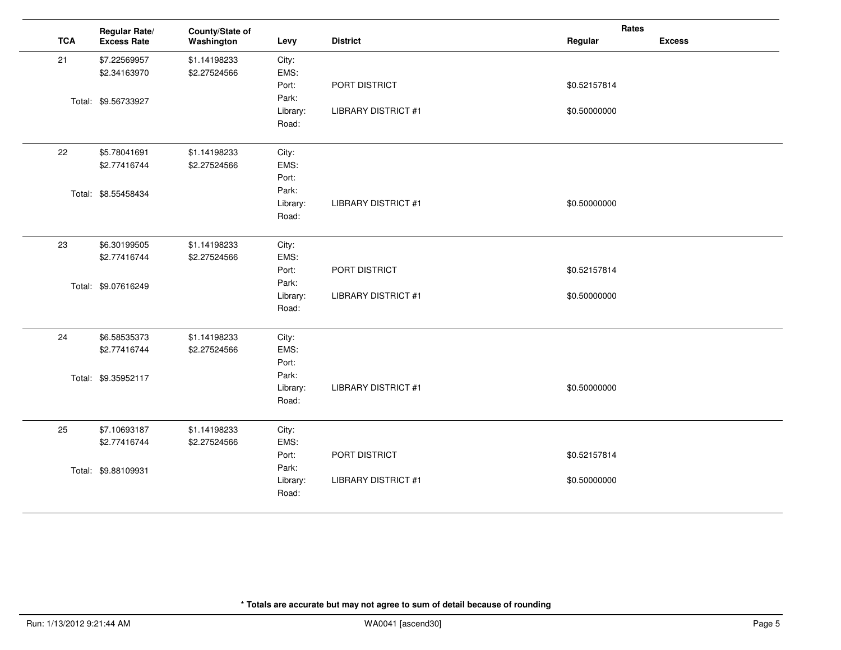|            | Regular Rate/       | County/State of |          |                            | Rates        |               |
|------------|---------------------|-----------------|----------|----------------------------|--------------|---------------|
| <b>TCA</b> | <b>Excess Rate</b>  | Washington      | Levy     | <b>District</b>            | Regular      | <b>Excess</b> |
| 21         | \$7.22569957        | \$1.14198233    | City:    |                            |              |               |
|            | \$2.34163970        | \$2.27524566    | EMS:     |                            |              |               |
|            |                     |                 | Port:    | PORT DISTRICT              | \$0.52157814 |               |
|            | Total: \$9.56733927 |                 | Park:    |                            |              |               |
|            |                     |                 | Library: | <b>LIBRARY DISTRICT #1</b> | \$0.50000000 |               |
|            |                     |                 | Road:    |                            |              |               |
| 22         | \$5.78041691        | \$1.14198233    | City:    |                            |              |               |
|            | \$2.77416744        | \$2.27524566    | EMS:     |                            |              |               |
|            |                     |                 | Port:    |                            |              |               |
|            | Total: \$8.55458434 |                 | Park:    |                            |              |               |
|            |                     |                 | Library: | <b>LIBRARY DISTRICT #1</b> | \$0.50000000 |               |
|            |                     |                 | Road:    |                            |              |               |
| 23         | \$6.30199505        | \$1.14198233    | City:    |                            |              |               |
|            | \$2.77416744        | \$2.27524566    | EMS:     |                            |              |               |
|            |                     |                 | Port:    | PORT DISTRICT              | \$0.52157814 |               |
|            | Total: \$9.07616249 |                 | Park:    |                            |              |               |
|            |                     |                 | Library: | <b>LIBRARY DISTRICT #1</b> | \$0.50000000 |               |
|            |                     |                 | Road:    |                            |              |               |
| 24         | \$6.58535373        | \$1.14198233    | City:    |                            |              |               |
|            | \$2.77416744        | \$2.27524566    | EMS:     |                            |              |               |
|            |                     |                 | Port:    |                            |              |               |
|            | Total: \$9.35952117 |                 | Park:    |                            |              |               |
|            |                     |                 | Library: | <b>LIBRARY DISTRICT #1</b> | \$0.50000000 |               |
|            |                     |                 | Road:    |                            |              |               |
| 25         | \$7.10693187        | \$1.14198233    | City:    |                            |              |               |
|            | \$2.77416744        | \$2.27524566    | EMS:     |                            |              |               |
|            |                     |                 | Port:    | PORT DISTRICT              | \$0.52157814 |               |
|            | Total: \$9.88109931 |                 | Park:    |                            |              |               |
|            |                     |                 | Library: | <b>LIBRARY DISTRICT #1</b> | \$0.50000000 |               |
|            |                     |                 | Road:    |                            |              |               |
|            |                     |                 |          |                            |              |               |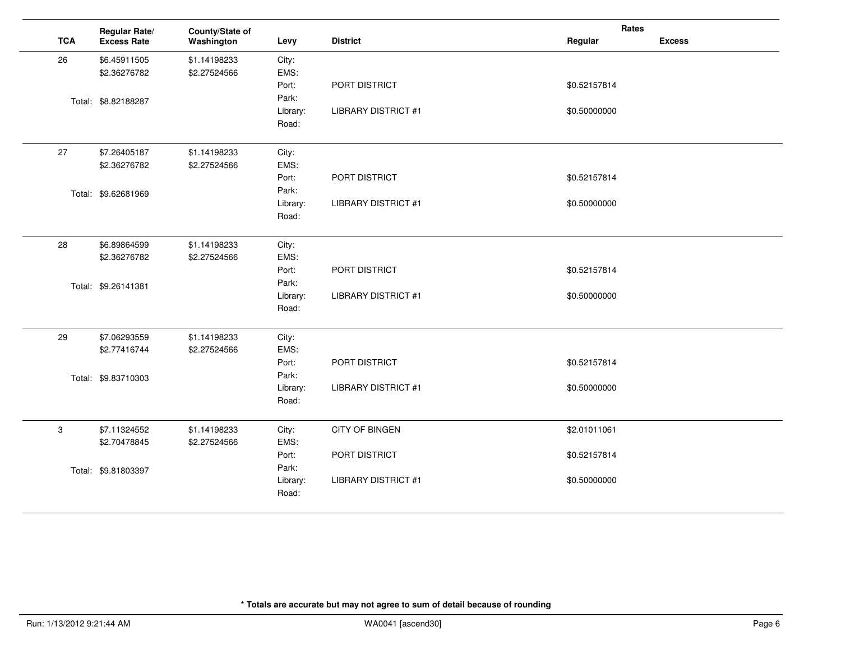|            | Regular Rate/       | County/State of |          |                            | Rates        |               |
|------------|---------------------|-----------------|----------|----------------------------|--------------|---------------|
| <b>TCA</b> | <b>Excess Rate</b>  | Washington      | Levy     | <b>District</b>            | Regular      | <b>Excess</b> |
| 26         | \$6.45911505        | \$1.14198233    | City:    |                            |              |               |
|            | \$2.36276782        | \$2.27524566    | EMS:     |                            |              |               |
|            |                     |                 | Port:    | PORT DISTRICT              | \$0.52157814 |               |
|            | Total: \$8.82188287 |                 | Park:    |                            |              |               |
|            |                     |                 | Library: | <b>LIBRARY DISTRICT #1</b> | \$0.50000000 |               |
|            |                     |                 | Road:    |                            |              |               |
| 27         | \$7.26405187        | \$1.14198233    | City:    |                            |              |               |
|            | \$2.36276782        | \$2.27524566    | EMS:     |                            |              |               |
|            |                     |                 | Port:    | PORT DISTRICT              | \$0.52157814 |               |
|            | Total: \$9.62681969 |                 | Park:    |                            |              |               |
|            |                     |                 | Library: | <b>LIBRARY DISTRICT #1</b> | \$0.50000000 |               |
|            |                     |                 | Road:    |                            |              |               |
| 28         | \$6.89864599        | \$1.14198233    | City:    |                            |              |               |
|            | \$2.36276782        | \$2.27524566    | EMS:     |                            |              |               |
|            |                     |                 | Port:    | PORT DISTRICT              | \$0.52157814 |               |
|            | Total: \$9.26141381 |                 | Park:    |                            |              |               |
|            |                     |                 | Library: | <b>LIBRARY DISTRICT #1</b> | \$0.50000000 |               |
|            |                     |                 | Road:    |                            |              |               |
| 29         | \$7.06293559        | \$1.14198233    | City:    |                            |              |               |
|            | \$2.77416744        | \$2.27524566    | EMS:     |                            |              |               |
|            |                     |                 | Port:    | PORT DISTRICT              | \$0.52157814 |               |
|            | Total: \$9.83710303 |                 | Park:    |                            |              |               |
|            |                     |                 | Library: | <b>LIBRARY DISTRICT #1</b> | \$0.50000000 |               |
|            |                     |                 | Road:    |                            |              |               |
| 3          | \$7.11324552        | \$1.14198233    | City:    | <b>CITY OF BINGEN</b>      | \$2.01011061 |               |
|            | \$2.70478845        | \$2.27524566    | EMS:     |                            |              |               |
|            |                     |                 | Port:    | PORT DISTRICT              | \$0.52157814 |               |
|            | Total: \$9.81803397 |                 | Park:    |                            |              |               |
|            |                     |                 | Library: | <b>LIBRARY DISTRICT #1</b> | \$0.50000000 |               |
|            |                     |                 | Road:    |                            |              |               |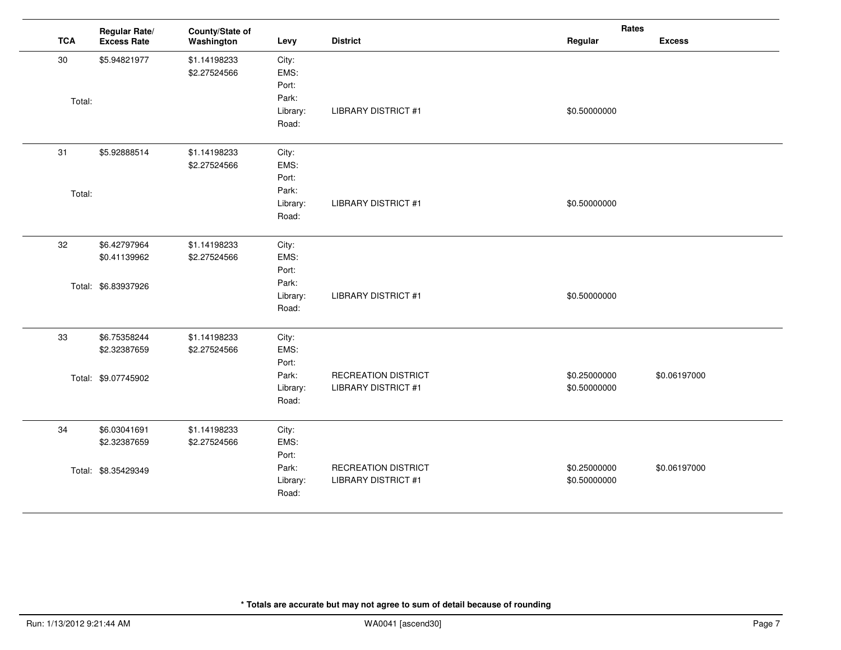|            | Regular Rate/       | County/State of |          |                            | Rates        |               |
|------------|---------------------|-----------------|----------|----------------------------|--------------|---------------|
| <b>TCA</b> | <b>Excess Rate</b>  | Washington      | Levy     | <b>District</b>            | Regular      | <b>Excess</b> |
| 30         | \$5.94821977        | \$1.14198233    | City:    |                            |              |               |
|            |                     | \$2.27524566    | EMS:     |                            |              |               |
|            |                     |                 | Port:    |                            |              |               |
| Total:     |                     |                 | Park:    |                            |              |               |
|            |                     |                 | Library: | <b>LIBRARY DISTRICT #1</b> | \$0.50000000 |               |
|            |                     |                 | Road:    |                            |              |               |
| 31         | \$5.92888514        | \$1.14198233    | City:    |                            |              |               |
|            |                     | \$2.27524566    | EMS:     |                            |              |               |
|            |                     |                 | Port:    |                            |              |               |
| Total:     |                     |                 | Park:    |                            |              |               |
|            |                     |                 | Library: | <b>LIBRARY DISTRICT #1</b> | \$0.50000000 |               |
|            |                     |                 | Road:    |                            |              |               |
| 32         | \$6.42797964        | \$1.14198233    | City:    |                            |              |               |
|            | \$0.41139962        | \$2.27524566    | EMS:     |                            |              |               |
|            |                     |                 | Port:    |                            |              |               |
|            | Total: \$6.83937926 |                 | Park:    |                            |              |               |
|            |                     |                 | Library: | <b>LIBRARY DISTRICT #1</b> | \$0.50000000 |               |
|            |                     |                 | Road:    |                            |              |               |
| 33         | \$6.75358244        | \$1.14198233    | City:    |                            |              |               |
|            | \$2.32387659        | \$2.27524566    | EMS:     |                            |              |               |
|            |                     |                 | Port:    |                            |              |               |
|            | Total: \$9.07745902 |                 | Park:    | <b>RECREATION DISTRICT</b> | \$0.25000000 | \$0.06197000  |
|            |                     |                 | Library: | <b>LIBRARY DISTRICT #1</b> | \$0.50000000 |               |
|            |                     |                 | Road:    |                            |              |               |
| 34         | \$6.03041691        | \$1.14198233    | City:    |                            |              |               |
|            | \$2.32387659        | \$2.27524566    | EMS:     |                            |              |               |
|            |                     |                 | Port:    |                            |              |               |
|            | Total: \$8.35429349 |                 | Park:    | <b>RECREATION DISTRICT</b> | \$0.25000000 | \$0.06197000  |
|            |                     |                 | Library: | <b>LIBRARY DISTRICT #1</b> | \$0.50000000 |               |
|            |                     |                 | Road:    |                            |              |               |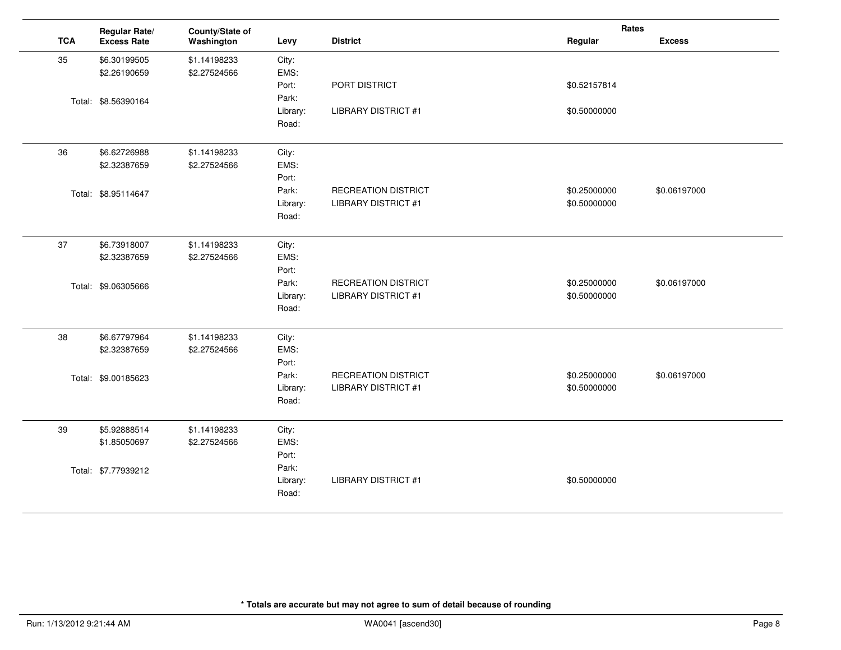|            | Regular Rate/       | County/State of |          |                            | Rates        |               |
|------------|---------------------|-----------------|----------|----------------------------|--------------|---------------|
| <b>TCA</b> | <b>Excess Rate</b>  | Washington      | Levy     | <b>District</b>            | Regular      | <b>Excess</b> |
| 35         | \$6.30199505        | \$1.14198233    | City:    |                            |              |               |
|            | \$2.26190659        | \$2.27524566    | EMS:     |                            |              |               |
|            |                     |                 | Port:    | PORT DISTRICT              | \$0.52157814 |               |
|            | Total: \$8.56390164 |                 | Park:    |                            |              |               |
|            |                     |                 | Library: | <b>LIBRARY DISTRICT #1</b> | \$0.50000000 |               |
|            |                     |                 | Road:    |                            |              |               |
| 36         | \$6.62726988        | \$1.14198233    | City:    |                            |              |               |
|            | \$2.32387659        | \$2.27524566    | EMS:     |                            |              |               |
|            |                     |                 | Port:    |                            |              |               |
|            | Total: \$8.95114647 |                 | Park:    | <b>RECREATION DISTRICT</b> | \$0.25000000 | \$0.06197000  |
|            |                     |                 | Library: | <b>LIBRARY DISTRICT #1</b> | \$0.50000000 |               |
|            |                     |                 | Road:    |                            |              |               |
| 37         | \$6.73918007        | \$1.14198233    | City:    |                            |              |               |
|            | \$2.32387659        | \$2.27524566    | EMS:     |                            |              |               |
|            |                     |                 | Port:    |                            |              |               |
|            | Total: \$9.06305666 |                 | Park:    | <b>RECREATION DISTRICT</b> | \$0.25000000 | \$0.06197000  |
|            |                     |                 | Library: | <b>LIBRARY DISTRICT #1</b> | \$0.50000000 |               |
|            |                     |                 | Road:    |                            |              |               |
| 38         | \$6.67797964        | \$1.14198233    | City:    |                            |              |               |
|            | \$2.32387659        | \$2.27524566    | EMS:     |                            |              |               |
|            |                     |                 | Port:    |                            |              |               |
|            | Total: \$9.00185623 |                 | Park:    | <b>RECREATION DISTRICT</b> | \$0.25000000 | \$0.06197000  |
|            |                     |                 | Library: | <b>LIBRARY DISTRICT #1</b> | \$0.50000000 |               |
|            |                     |                 | Road:    |                            |              |               |
| 39         | \$5.92888514        | \$1.14198233    | City:    |                            |              |               |
|            | \$1.85050697        | \$2.27524566    | EMS:     |                            |              |               |
|            |                     |                 | Port:    |                            |              |               |
|            | Total: \$7.77939212 |                 | Park:    |                            |              |               |
|            |                     |                 | Library: | <b>LIBRARY DISTRICT #1</b> | \$0.50000000 |               |
|            |                     |                 | Road:    |                            |              |               |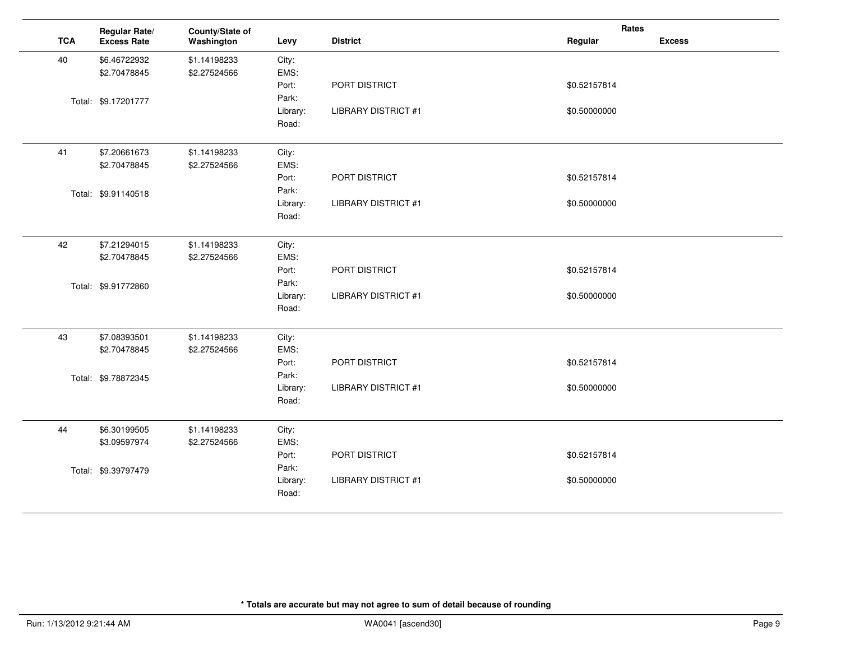|            | Regular Rate/       | County/State of |          |                            | Rates        |               |
|------------|---------------------|-----------------|----------|----------------------------|--------------|---------------|
| <b>TCA</b> | <b>Excess Rate</b>  | Washington      | Levy     | <b>District</b>            | Regular      | <b>Excess</b> |
| 40         | \$6.46722932        | \$1.14198233    | City:    |                            |              |               |
|            | \$2.70478845        | \$2.27524566    | EMS:     |                            |              |               |
|            |                     |                 | Port:    | PORT DISTRICT              | \$0.52157814 |               |
|            | Total: \$9.17201777 |                 | Park:    |                            |              |               |
|            |                     |                 | Library: | <b>LIBRARY DISTRICT #1</b> | \$0.50000000 |               |
|            |                     |                 | Road:    |                            |              |               |
| 41         | \$7.20661673        | \$1.14198233    | City:    |                            |              |               |
|            | \$2.70478845        | \$2.27524566    | EMS:     |                            |              |               |
|            |                     |                 | Port:    | PORT DISTRICT              | \$0.52157814 |               |
|            | Total: \$9.91140518 |                 | Park:    |                            |              |               |
|            |                     |                 | Library: | <b>LIBRARY DISTRICT #1</b> | \$0.50000000 |               |
|            |                     |                 | Road:    |                            |              |               |
| 42         | \$7.21294015        | \$1.14198233    | City:    |                            |              |               |
|            | \$2.70478845        | \$2.27524566    | EMS:     |                            |              |               |
|            |                     |                 | Port:    | PORT DISTRICT              | \$0.52157814 |               |
|            | Total: \$9.91772860 |                 | Park:    |                            |              |               |
|            |                     |                 | Library: | <b>LIBRARY DISTRICT #1</b> | \$0.50000000 |               |
|            |                     |                 | Road:    |                            |              |               |
| 43         | \$7.08393501        | \$1.14198233    | City:    |                            |              |               |
|            | \$2.70478845        | \$2.27524566    | EMS:     |                            |              |               |
|            |                     |                 | Port:    | PORT DISTRICT              | \$0.52157814 |               |
|            | Total: \$9.78872345 |                 | Park:    |                            |              |               |
|            |                     |                 | Library: | <b>LIBRARY DISTRICT #1</b> | \$0.50000000 |               |
|            |                     |                 | Road:    |                            |              |               |
| 44         | \$6.30199505        | \$1.14198233    | City:    |                            |              |               |
|            | \$3.09597974        | \$2.27524566    | EMS:     |                            |              |               |
|            |                     |                 | Port:    | PORT DISTRICT              | \$0.52157814 |               |
|            | Total: \$9.39797479 |                 | Park:    |                            |              |               |
|            |                     |                 | Library: | <b>LIBRARY DISTRICT #1</b> | \$0.50000000 |               |
|            |                     |                 | Road:    |                            |              |               |
|            |                     |                 |          |                            |              |               |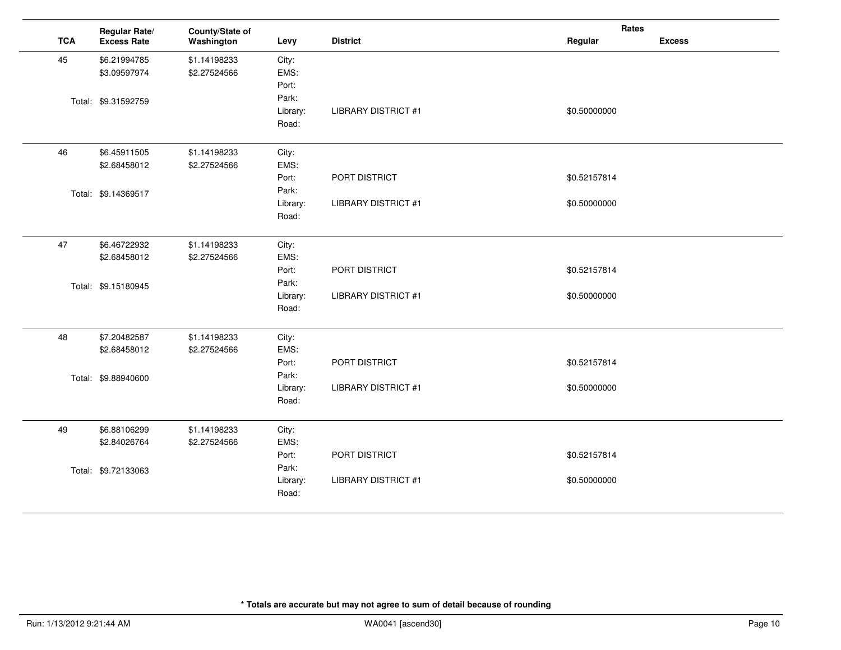|            | Regular Rate/       | County/State of |          |                            | Rates        |               |
|------------|---------------------|-----------------|----------|----------------------------|--------------|---------------|
| <b>TCA</b> | <b>Excess Rate</b>  | Washington      | Levy     | <b>District</b>            | Regular      | <b>Excess</b> |
| 45         | \$6.21994785        | \$1.14198233    | City:    |                            |              |               |
|            | \$3.09597974        | \$2.27524566    | EMS:     |                            |              |               |
|            |                     |                 | Port:    |                            |              |               |
|            | Total: \$9.31592759 |                 | Park:    |                            |              |               |
|            |                     |                 | Library: | <b>LIBRARY DISTRICT #1</b> | \$0.50000000 |               |
|            |                     |                 | Road:    |                            |              |               |
| 46         | \$6.45911505        | \$1.14198233    | City:    |                            |              |               |
|            | \$2.68458012        | \$2.27524566    | EMS:     |                            |              |               |
|            |                     |                 | Port:    | PORT DISTRICT              | \$0.52157814 |               |
|            | Total: \$9.14369517 |                 | Park:    |                            |              |               |
|            |                     |                 | Library: | <b>LIBRARY DISTRICT #1</b> | \$0.50000000 |               |
|            |                     |                 | Road:    |                            |              |               |
| 47         | \$6.46722932        | \$1.14198233    | City:    |                            |              |               |
|            | \$2.68458012        | \$2.27524566    | EMS:     |                            |              |               |
|            |                     |                 | Port:    | PORT DISTRICT              | \$0.52157814 |               |
|            | Total: \$9.15180945 |                 | Park:    |                            |              |               |
|            |                     |                 | Library: | <b>LIBRARY DISTRICT #1</b> | \$0.50000000 |               |
|            |                     |                 | Road:    |                            |              |               |
| 48         | \$7.20482587        | \$1.14198233    | City:    |                            |              |               |
|            | \$2.68458012        | \$2.27524566    | EMS:     |                            |              |               |
|            |                     |                 | Port:    | PORT DISTRICT              | \$0.52157814 |               |
|            | Total: \$9.88940600 |                 | Park:    |                            |              |               |
|            |                     |                 | Library: | <b>LIBRARY DISTRICT #1</b> | \$0.50000000 |               |
|            |                     |                 | Road:    |                            |              |               |
| 49         | \$6.88106299        | \$1.14198233    | City:    |                            |              |               |
|            | \$2.84026764        | \$2.27524566    | EMS:     |                            |              |               |
|            |                     |                 | Port:    | PORT DISTRICT              | \$0.52157814 |               |
|            | Total: \$9.72133063 |                 | Park:    |                            |              |               |
|            |                     |                 | Library: | <b>LIBRARY DISTRICT #1</b> | \$0.50000000 |               |
|            |                     |                 | Road:    |                            |              |               |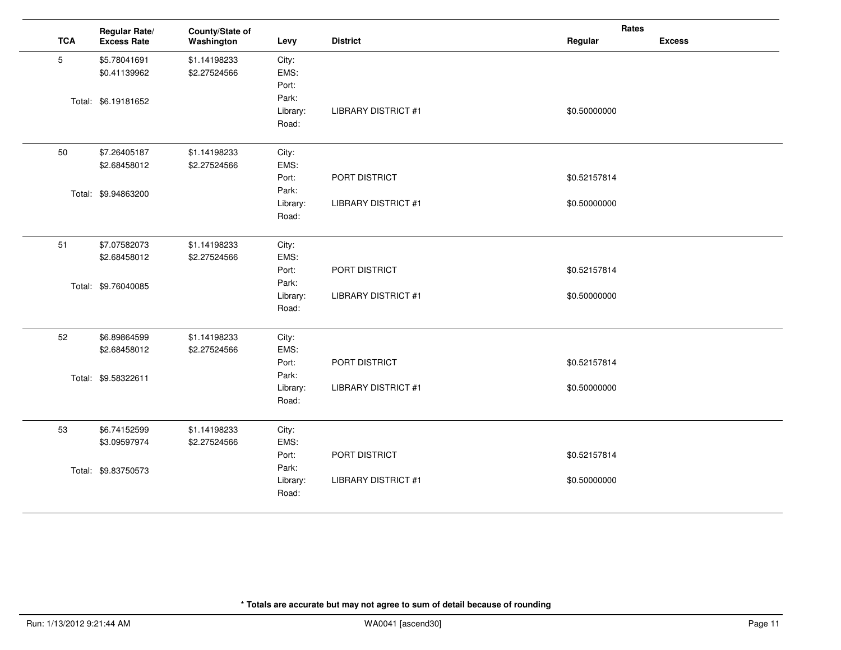|                 | Regular Rate/       | County/State of |          |                            | Rates        |               |
|-----------------|---------------------|-----------------|----------|----------------------------|--------------|---------------|
| <b>TCA</b>      | <b>Excess Rate</b>  | Washington      | Levy     | <b>District</b>            | Regular      | <b>Excess</b> |
| $5\phantom{.0}$ | \$5.78041691        | \$1.14198233    | City:    |                            |              |               |
|                 | \$0.41139962        | \$2.27524566    | EMS:     |                            |              |               |
|                 |                     |                 | Port:    |                            |              |               |
|                 | Total: \$6.19181652 |                 | Park:    |                            |              |               |
|                 |                     |                 | Library: | <b>LIBRARY DISTRICT #1</b> | \$0.50000000 |               |
|                 |                     |                 | Road:    |                            |              |               |
| 50              | \$7.26405187        | \$1.14198233    | City:    |                            |              |               |
|                 | \$2.68458012        | \$2.27524566    | EMS:     |                            |              |               |
|                 |                     |                 | Port:    | PORT DISTRICT              | \$0.52157814 |               |
|                 | Total: \$9.94863200 |                 | Park:    |                            |              |               |
|                 |                     |                 | Library: | <b>LIBRARY DISTRICT #1</b> | \$0.50000000 |               |
|                 |                     |                 | Road:    |                            |              |               |
| 51              | \$7.07582073        | \$1.14198233    | City:    |                            |              |               |
|                 | \$2.68458012        | \$2.27524566    | EMS:     |                            |              |               |
|                 |                     |                 | Port:    | PORT DISTRICT              | \$0.52157814 |               |
|                 | Total: \$9.76040085 |                 | Park:    |                            |              |               |
|                 |                     |                 | Library: | <b>LIBRARY DISTRICT #1</b> | \$0.50000000 |               |
|                 |                     |                 | Road:    |                            |              |               |
| 52              | \$6.89864599        | \$1.14198233    | City:    |                            |              |               |
|                 | \$2.68458012        | \$2.27524566    | EMS:     |                            |              |               |
|                 |                     |                 | Port:    | PORT DISTRICT              | \$0.52157814 |               |
|                 | Total: \$9.58322611 |                 | Park:    |                            |              |               |
|                 |                     |                 | Library: | <b>LIBRARY DISTRICT #1</b> | \$0.50000000 |               |
|                 |                     |                 | Road:    |                            |              |               |
| 53              | \$6.74152599        | \$1.14198233    | City:    |                            |              |               |
|                 | \$3.09597974        | \$2.27524566    | EMS:     |                            |              |               |
|                 |                     |                 | Port:    | PORT DISTRICT              | \$0.52157814 |               |
|                 | Total: \$9.83750573 |                 | Park:    |                            |              |               |
|                 |                     |                 | Library: | <b>LIBRARY DISTRICT #1</b> | \$0.50000000 |               |
|                 |                     |                 | Road:    |                            |              |               |